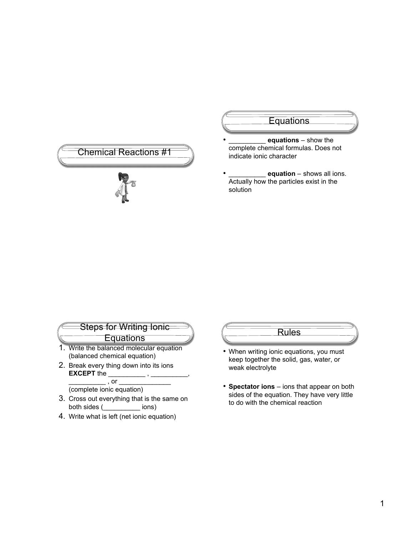

## **Equations**

- equations show the complete chemical formulas. Does not indicate ionic character
- $=$  equation shows all ions. Actually how the particles exist in the solution

| <b>Steps for Writing lonic</b>                                           |
|--------------------------------------------------------------------------|
| <b>Equations</b>                                                         |
| 1. Write the balanced molecular equation<br>(balanced chemical equation) |
| 2. Break every thing down into its ions                                  |

**EXCEPT** the  $\_$  , or  $\overline{\phantom{a}}$ 

(complete ionic equation)

- 3. Cross out everything that is the same on both sides (\_\_\_\_\_\_\_\_\_\_ ions)
- 4. Write what is left (net ionic equation)

## Rules

- When writing ionic equations, you must keep together the solid, gas, water, or weak electrolyte
- **Spectator ions** ions that appear on both sides of the equation. They have very little to do with the chemical reaction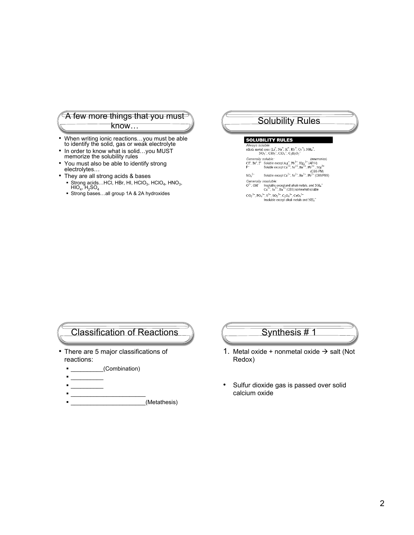#### A few more things that you must know…

- When writing ionic reactions…you must be able to identify the solid, gas or weak electrolyte
- In order to know what is solid...you MUST memorize the solubility rules
- You must also be able to identify strong electrolytes…
- They are all strong acids & bases
	- Strong acids…HCl, HBr, HI, HClO<sub>3</sub>, HClO<sub>4</sub>, HNO<sub>3</sub>,<br>HIO<sub>4</sub>, H<sub>2</sub>SO<sub>4</sub><br>■ Strong bases…all group 1A & 2A hydroxides
	-

#### Solubility Rules

#### **SOLUBILITY RULES**

Always soluble: alkali metal ions (Li<sup>+</sup>, Na<sup>+</sup>, K<sup>+</sup>, Rb<sup>+</sup>, Cs<sup>+</sup>), NH<sub>4</sub><sup>+</sup>,<br>NO<sub>3</sub><sup>-</sup>, ClO<sub>3</sub><sup>-</sup>, ClO<sub>4</sub><sup>-</sup>, C<sub>2</sub>H<sub>3</sub>O<sub>2</sub><sup>-</sup> Contently soluble:<br>
Contently soluble:  $(\text{memomics})$ <br>
CT, Br, T Soluble except Ag<sup>+</sup>, Pb<sup>2+</sup>, Hg<sub>2</sub><sup>2+</sup> (AP/H)<br>
F Soluble except Ca<sup>2+</sup>, St<sup>2+</sup>, Pa<sup>2+</sup>, Pb<sup>2+</sup> (CBS-PM)<br>
SO<sub>4</sub><sup>2</sup> Soluble except Ca<sup>2+</sup>, St<sup>2</sup><sup>+</sup>, Ba<sup>2+</sup>, Pb<sup>2+</sup> Generally insoluble:<br>  $Q^2$ , OH Insoluble exceptand alkali metals, and NH<sub>4</sub><br>  $Q^2$ , OH Insoluble except and alkali metals, and NH<sub>4</sub><br>  $CO_3$ <sup>2</sup>,  $PO_4$ <sup>2</sup>,  $SO_3$ <sup>2</sup>,  $CO_2$ <sup>2</sup>,  $CO_4$ <sup>2</sup>,  $CO_4$ <sup>2</sup>,  $CO_4$ <sup>2</sup>,  $CO_4$ <sup>2</sup>, Insolu

#### Classification of Reactions

- There are 5 major classifications of reactions:
	- \_\_\_\_\_\_\_\_\_\_(Combination)
	- $\blacksquare$
	- $\blacksquare$
	- $\blacksquare$
	- \_\_\_\_\_\_\_\_\_\_\_\_\_\_\_\_\_\_\_\_\_\_\_(Metathesis)

### Synthesis # 1

- 1. Metal oxide + nonmetal oxide  $\rightarrow$  salt (Not Redox)
- Sulfur dioxide gas is passed over solid calcium oxide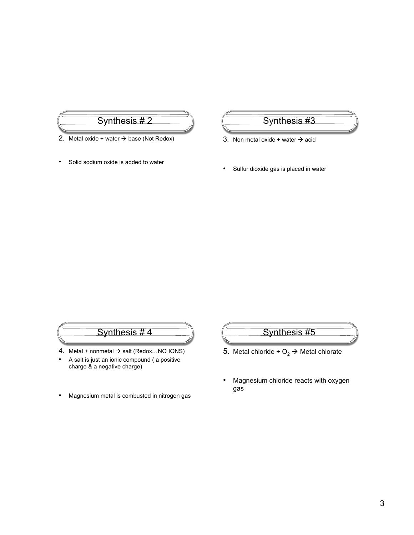

- 2. Metal oxide + water  $\rightarrow$  base (Not Redox)
- Solid sodium oxide is added to water

Synthesis #3

3. Non metal oxide + water  $\rightarrow$  acid

• Sulfur dioxide gas is placed in water

# Synthesis # 4

- 4. Metal + nonmetal  $\rightarrow$  salt (Redox... NO IONS)
- A salt is just an ionic compound ( a positive charge & a negative charge)
- Magnesium metal is combusted in nitrogen gas



- 5. Metal chloride +  $O_2 \rightarrow$  Metal chlorate
- Magnesium chloride reacts with oxygen gas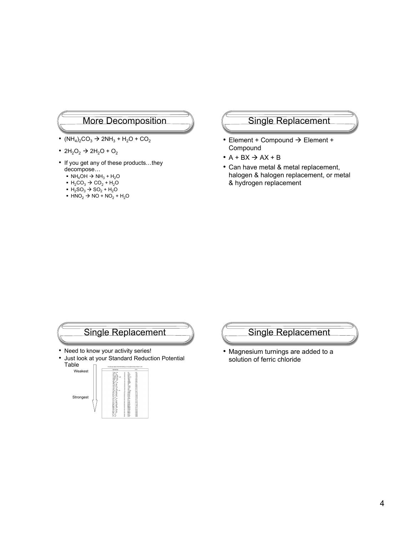#### More Decomposition

- $(NH_4)_2CO_3 \rightarrow 2NH_3 + H_2O + CO_2$
- $2H_2O_2 \rightarrow 2H_2O + O_2$
- If you get any of these products…they decompose…
	- $\cdot$  NH<sub>4</sub>OH  $\rightarrow$  NH<sub>3</sub> + H<sub>2</sub>O
	- $\cdot$  H<sub>2</sub>CO<sub>3</sub>  $\rightarrow$  CO<sub>2</sub> + H<sub>2</sub>O
	- H<sub>2</sub>SO<sub>3</sub> → SO<sub>2</sub> + H<sub>2</sub>O
	- $\blacksquare$  HNO<sub>2</sub>  $\rightarrow$  NO + NO<sub>2</sub> + H<sub>2</sub>O

#### Single Replacement

- Element + Compound  $\rightarrow$  Element + **Compound**
- $\bullet$  A + BX  $\rightarrow$  AX + B
- Can have metal & metal replacement, halogen & halogen replacement, or metal & hydrogen replacement





• Magnesium turnings are added to a solution of ferric chloride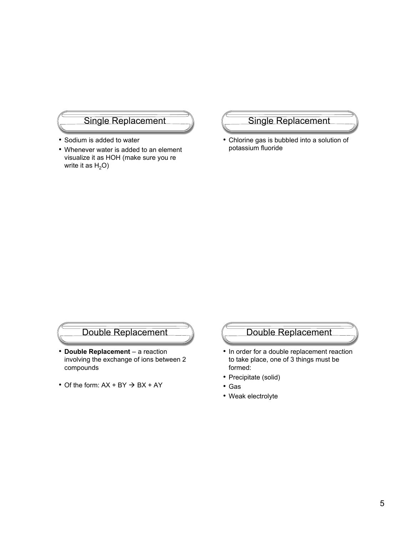#### Single Replacement

- Sodium is added to water
- Whenever water is added to an element visualize it as HOH (make sure you re write it as  $H_2O$ )

#### Single Replacement

• Chlorine gas is bubbled into a solution of potassium fluoride

# Double Replacement

- **Double Replacement** a reaction involving the exchange of ions between 2 compounds
- Of the form:  $AX + BY \rightarrow BX + AY$

# Double Replacement

- In order for a double replacement reaction to take place, one of 3 things must be formed:
- Precipitate (solid)
- Gas
- Weak electrolyte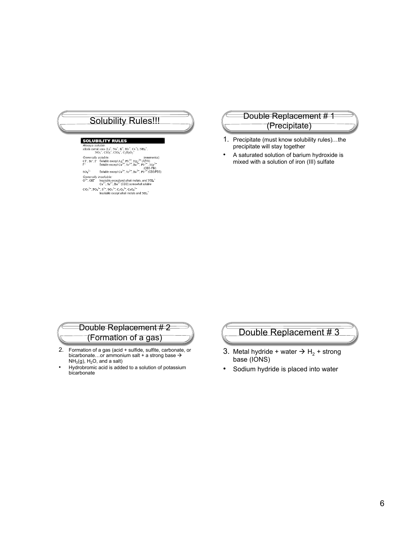# Solubility Rules!!!<br>
Solubility Rules!!!<br>
Christiate (Draginitate) **SOLUBILITY RULES** uble Always soluble:<br>alkali metal ions (Li<sup>+</sup>, Na<sup>+</sup>, K<sup>+</sup>, Rb<sup>+</sup>, Cs<sup>+</sup>), NH<sub>4</sub><sup>+</sup>,<br>NO<sub>3</sub><sup>-</sup>, ClO<sub>3</sub><sup>-</sup>, ClO<sub>4</sub><sup>-</sup>, C<sub>2</sub>H<sub>3</sub>O<sub>2</sub><sup>-</sup> NO<sub>3</sub>, ClO<sub>3</sub>, ClO<sub>4</sub>, C<sub>2</sub>H<sub>3</sub>O<sub>2</sub><br>
(mnemonics)<br>
CF, Br, T Soluble except Ag<sup>\*</sup>, Pb<sup>2</sup><sup>+</sup>, Hg<sub>2</sub><sup>2</sup><sup>2</sup> (AP/H)<br>
F<sup>2</sup><br>
Soluble except Ca<sup>2\*</sup>, Sr<sup>2\*</sup>, Ba<sup>2\*</sup>, Pb<sup>2\*</sup>, (CBS-PM)<br>
SO<sub>4</sub><sup>2</sup> Soluble except Ca<sup>2\*</sup>, Sr<sup>2</sup><sup>+</sup>, Ba<sup>2</sup> Generally insoluble:<br>  $O^2$ , OH lnsoluble exceptand alkali metals, and NH<sub>4</sub><sup>+</sup><br>  $Ca^{2+}$ , Sr<sup>2+</sup>, Ba<sup>2+</sup> (CBS) somewhat soluble

- 
- $CO_3{}^{2-}$ ,  $PO_4{}^{3-}$ ,  $S_2{}^{2-}$ ,  $SO_3{}^{2-}$ ,  $C_2O_4{}^{2-}$ ,  $CrO_4{}^{2-}$ <br>Insoluble except alkali metals and NH<sub>4</sub><sup>+</sup>

# (Precipitate)

- 1. Precipitate (must know solubility rules)…the precipitate will stay together
- A saturated solution of barium hydroxide is mixed with a solution of iron (III) sulfate

#### Double Replacement # 2 (Formation of a gas)

- 2. Formation of a gas (acid + sulfide, sulfite, carbonate, or bicarbonate...or ammonium salt + a strong base  $\rightarrow$  $NH<sub>3</sub>(g), H<sub>2</sub>O, and a salt)$
- Hydrobromic acid is added to a solution of potassium bicarbonate

# Double Replacement # 3

- 3. Metal hydride + water  $\rightarrow$  H<sub>2</sub> + strong base (IONS)
- Sodium hydride is placed into water